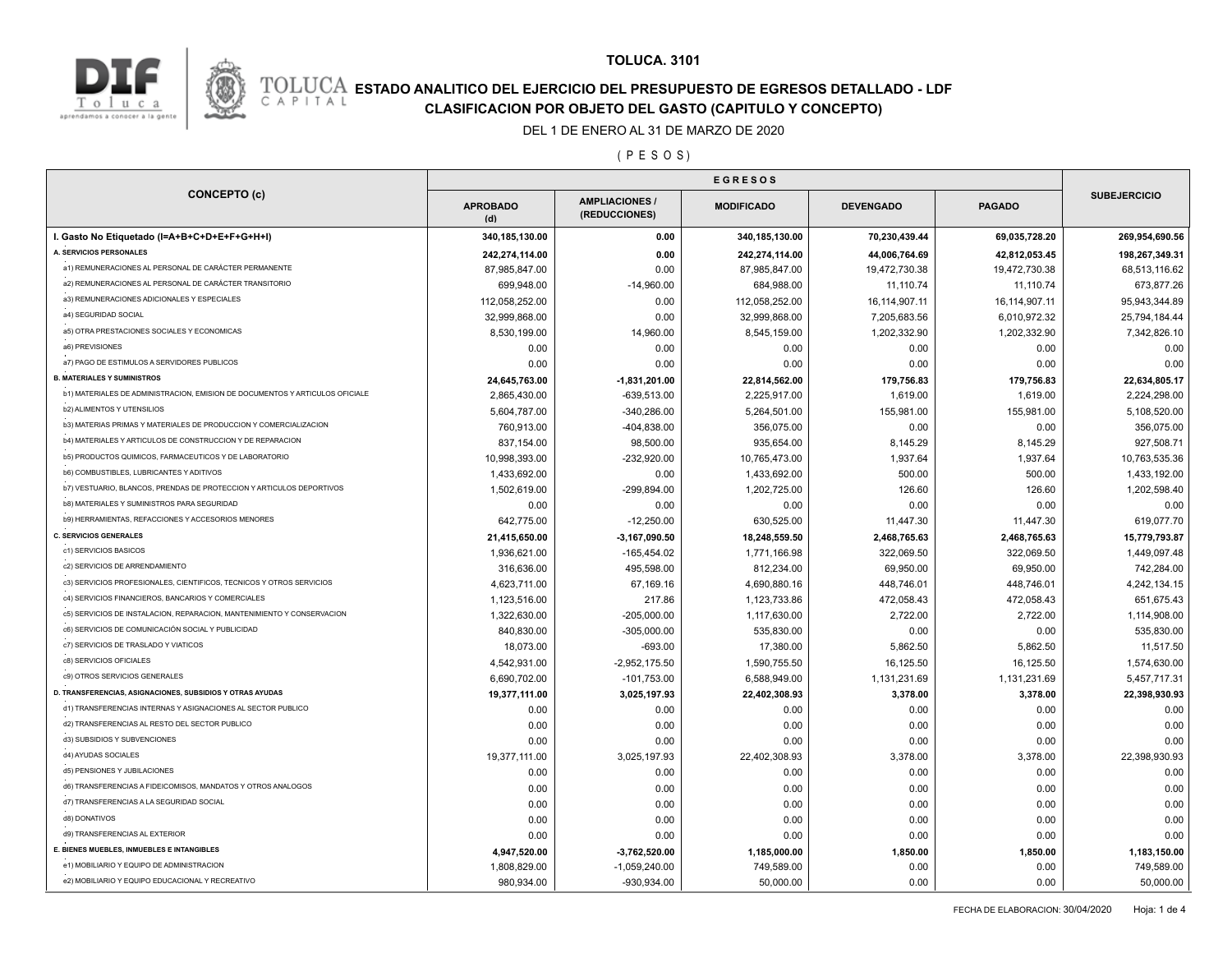

## **TOLUCA. 3101**

# **ESTADO ANALITICO DEL EJERCICIO DEL PRESUPUESTO DE EGRESOS DETALLADO - LDF**<br>CAPITAL CIASIFICACION POR OBJETO DEL GASTO (CAPITULO Y CONCEPTO) **CLASIFICACION POR OBJETO DEL GASTO (CAPITULO Y CONCEPTO)**

#### DEL 1 DE ENERO AL 31 DE MARZO DE 2020

( P E S O S )

|                                                                                         | <b>EGRESOS</b>               |                                        |                            |                  |                  |                            |
|-----------------------------------------------------------------------------------------|------------------------------|----------------------------------------|----------------------------|------------------|------------------|----------------------------|
| <b>CONCEPTO (c)</b>                                                                     | <b>APROBADO</b><br>(d)       | <b>AMPLIACIONES /</b><br>(REDUCCIONES) | <b>MODIFICADO</b>          | <b>DEVENGADO</b> | <b>PAGADO</b>    | <b>SUBEJERCICIO</b>        |
| I. Gasto No Etiquetado (I=A+B+C+D+E+F+G+H+I)                                            | 340,185,130.00               | 0.00                                   | 340,185,130.00             | 70,230,439.44    | 69,035,728.20    | 269,954,690.56             |
| A. SERVICIOS PERSONALES                                                                 | 242,274,114.00               | 0.00                                   | 242,274,114.00             | 44,006,764.69    | 42,812,053.45    | 198,267,349.31             |
| a1) REMUNERACIONES AL PERSONAL DE CARÁCTER PERMANENTE                                   | 87,985,847.00                | 0.00                                   | 87,985,847.00              | 19,472,730.38    | 19,472,730.38    | 68,513,116.62              |
| a2) REMUNERACIONES AL PERSONAL DE CARÁCTER TRANSITORIO                                  | 699,948.00                   | $-14,960.00$                           | 684,988.00                 | 11,110.74        | 11,110.74        | 673,877.26                 |
| a3) REMUNERACIONES ADICIONALES Y ESPECIALES                                             | 112,058,252.00               | 0.00                                   | 112,058,252.00             | 16,114,907.11    | 16,114,907.11    | 95,943,344.89              |
| a4) SEGURIDAD SOCIAL                                                                    | 32,999,868.00                | 0.00                                   | 32,999,868.00              | 7,205,683.56     | 6,010,972.32     | 25,794,184.44              |
| a5) OTRA PRESTACIONES SOCIALES Y ECONOMICAS                                             | 8,530,199.00                 | 14,960.00                              | 8,545,159.00               | 1,202,332.90     | 1,202,332.90     | 7,342,826.10               |
| a6) PREVISIONES                                                                         | 0.00                         | 0.00                                   | 0.00                       | 0.00             | 0.00             | 0.00                       |
| a7) PAGO DE ESTIMULOS A SERVIDORES PUBLICOS                                             | 0.00                         | 0.00                                   | 0.00                       | 0.00             | 0.00             | 0.00                       |
| <b>B. MATERIALES Y SUMINISTROS</b>                                                      | 24,645,763.00                | $-1,831,201.00$                        | 22,814,562.00              | 179,756.83       | 179,756.83       | 22,634,805.17              |
| b1) MATERIALES DE ADMINISTRACION, EMISION DE DOCUMENTOS Y ARTICULOS OFICIALE            | 2,865,430.00                 | $-639,513.00$                          | 2,225,917.00               | 1,619.00         | 1,619.00         | 2,224,298.00               |
| <b>b2) ALIMENTOS Y UTENSILIOS</b>                                                       | 5,604,787.00                 | $-340,286.00$                          | 5,264,501.00               | 155,981.00       | 155,981.00       | 5,108,520.00               |
| b3) MATERIAS PRIMAS Y MATERIALES DE PRODUCCION Y COMERCIALIZACION                       | 760,913.00                   | -404,838.00                            | 356,075.00                 | 0.00             | 0.00             | 356,075.00                 |
| b4) MATERIALES Y ARTICULOS DE CONSTRUCCION Y DE REPARACION                              | 837,154.00                   | 98,500.00                              | 935,654.00                 | 8,145.29         | 8,145.29         | 927,508.71                 |
| b5) PRODUCTOS QUIMICOS, FARMACEUTICOS Y DE LABORATORIO                                  | 10.998.393.00                | -232.920.00                            | 10,765,473.00              | 1,937.64         | 1,937.64         | 10,763,535.36              |
| <b>b6) COMBUSTIBLES, LUBRICANTES Y ADITIVOS</b>                                         | 1,433,692.00                 | 0.00                                   | 1,433,692.00               | 500.00           | 500.00           | 1,433,192.00               |
| b7) VESTUARIO, BLANCOS, PRENDAS DE PROTECCION Y ARTICULOS DEPORTIVOS                    | 1,502,619.00                 | -299,894.00                            | 1,202,725.00               | 126.60           | 126.60           | 1,202,598.40               |
| b8) MATERIALES Y SUMINISTROS PARA SEGURIDAD                                             | 0.00                         | 0.00                                   | 0.00                       | 0.00             | 0.00             | 0.00                       |
| b9) HERRAMIENTAS, REFACCIONES Y ACCESORIOS MENORES                                      | 642,775.00                   | $-12,250.00$                           | 630,525.00                 | 11,447.30        | 11,447.30        | 619,077.70                 |
| <b>C. SERVICIOS GENERALES</b>                                                           | 21,415,650.00                | $-3,167,090.50$                        | 18,248,559.50              | 2,468,765.63     | 2,468,765.63     | 15,779,793.87              |
| c1) SERVICIOS BASICOS                                                                   | 1,936,621.00                 | $-165,454.02$                          | 1,771,166.98               | 322,069.50       | 322,069.50       | 1,449,097.48               |
| c2) SERVICIOS DE ARRENDAMIENTO                                                          | 316,636.00                   | 495,598.00                             | 812,234.00                 | 69,950.00        | 69,950.00        | 742,284.00                 |
| c3) SERVICIOS PROFESIONALES, CIENTIFICOS, TECNICOS Y OTROS SERVICIOS                    | 4,623,711.00                 | 67,169.16                              | 4,690,880.16               | 448,746.01       | 448,746.01       | 4,242,134.15               |
| c4) SERVICIOS FINANCIEROS, BANCARIOS Y COMERCIALES                                      | 1,123,516.00                 | 217.86                                 | 1,123,733.86               | 472,058.43       | 472,058.43       | 651,675.43                 |
| c5) SERVICIOS DE INSTALACION, REPARACION, MANTENIMIENTO Y CONSERVACION                  | 1,322,630.00                 | $-205,000.00$                          | 1,117,630.00               | 2,722.00         | 2,722.00         | 1,114,908.00               |
| c6) SERVICIOS DE COMUNICACIÓN SOCIAL Y PUBLICIDAD                                       | 840,830.00                   | $-305,000.00$                          | 535,830.00                 | 0.00             | 0.00             | 535,830.00                 |
| c7) SERVICIOS DE TRASLADO Y VIATICOS                                                    | 18,073.00                    | $-693.00$                              | 17,380.00                  | 5,862.50         | 5,862.50         | 11,517.50                  |
| c8) SERVICIOS OFICIALES                                                                 | 4,542,931.00                 | $-2,952,175.50$                        | 1,590,755.50               | 16,125.50        | 16,125.50        | 1,574,630.00               |
| c9) OTROS SERVICIOS GENERALES                                                           | 6,690,702.00                 | $-101,753.00$                          | 6,588,949.00               | 1,131,231.69     | 1,131,231.69     | 5,457,717.31               |
| D. TRANSFERENCIAS, ASIGNACIONES, SUBSIDIOS Y OTRAS AYUDAS                               | 19,377,111.00                | 3,025,197.93                           | 22,402,308.93              | 3,378.00         | 3,378.00         | 22,398,930.93              |
| d1) TRANSFERENCIAS INTERNAS Y ASIGNACIONES AL SECTOR PUBLICO                            | 0.00                         | 0.00                                   | 0.00                       | 0.00             | 0.00             | 0.00                       |
| d2) TRANSFERENCIAS AL RESTO DEL SECTOR PUBLICO                                          | 0.00                         | 0.00                                   | 0.00                       | 0.00             | 0.00             | 0.00                       |
| d3) SUBSIDIOS Y SUBVENCIONES                                                            | 0.00                         | 0.00                                   | 0.00                       | 0.00             | 0.00             | 0.00                       |
| d4) AYUDAS SOCIALES                                                                     | 19,377,111.00                | 3,025,197.93                           | 22,402,308.93              | 3,378.00         | 3,378.00         | 22,398,930.93              |
| d5) PENSIONES Y JUBILACIONES                                                            | 0.00                         | 0.00                                   | 0.00                       | 0.00             | 0.00             | 0.00                       |
| d6) TRANSFERENCIAS A FIDEICOMISOS, MANDATOS Y OTROS ANALOGOS                            | 0.00                         | 0.00                                   | 0.00                       | 0.00             | 0.00             | 0.00                       |
| d7) TRANSFERENCIAS A LA SEGURIDAD SOCIAL                                                | 0.00                         | 0.00                                   | 0.00                       | 0.00             | 0.00             | 0.00                       |
| d8) DONATIVOS                                                                           | 0.00                         | 0.00                                   | 0.00                       |                  | 0.00             | 0.00                       |
|                                                                                         |                              |                                        |                            | 0.00             | 0.00             | 0.00                       |
|                                                                                         |                              |                                        |                            |                  |                  |                            |
| d9) TRANSFERENCIAS AL EXTERIOR                                                          | 0.00                         | 0.00                                   | 0.00                       | 0.00             |                  |                            |
| E. BIENES MUEBLES, INMUEBLES E INTANGIBLES<br>e1) MOBILIARIO Y EQUIPO DE ADMINISTRACION | 4,947,520.00<br>1,808,829.00 | $-3,762,520.00$<br>$-1,059,240.00$     | 1,185,000.00<br>749,589.00 | 1,850.00<br>0.00 | 1,850.00<br>0.00 | 1,183,150.00<br>749,589.00 |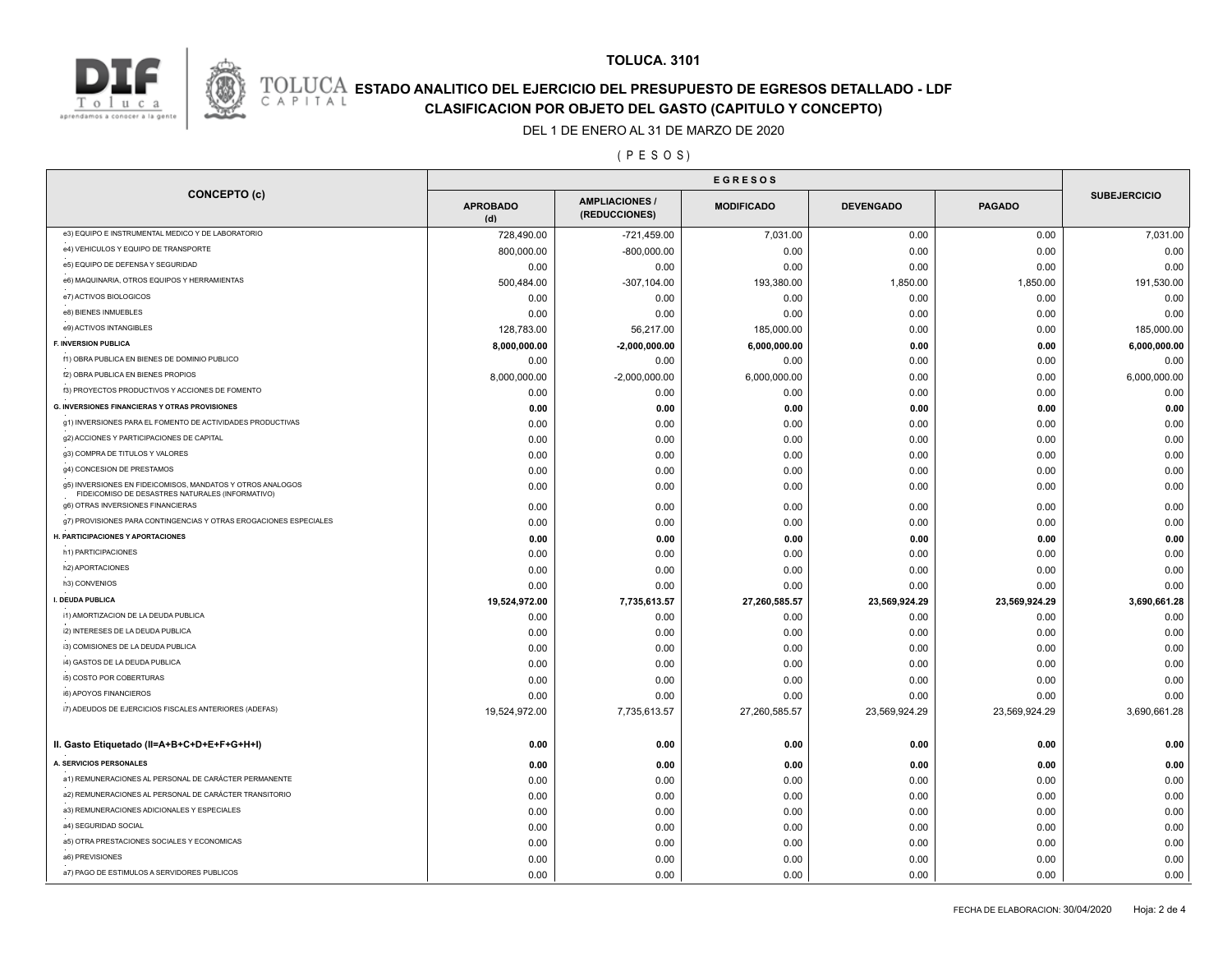



## **TOLUCA. 3101**

# **ESTADO ANALITICO DEL EJERCICIO DEL PRESUPUESTO DE EGRESOS DETALLADO - LDF**<br>CAPITAL CIASIFICACION POR OBJETO DEL GASTO (CAPITULO Y CONCEPTO) **CLASIFICACION POR OBJETO DEL GASTO (CAPITULO Y CONCEPTO)**

#### DEL 1 DE ENERO AL 31 DE MARZO DE 2020

## ( P E S O S )

|                                                                                                                | <b>EGRESOS</b>         |                                        |                   |                  |               |                     |
|----------------------------------------------------------------------------------------------------------------|------------------------|----------------------------------------|-------------------|------------------|---------------|---------------------|
| <b>CONCEPTO (c)</b>                                                                                            | <b>APROBADO</b><br>(d) | <b>AMPLIACIONES /</b><br>(REDUCCIONES) | <b>MODIFICADO</b> | <b>DEVENGADO</b> | <b>PAGADO</b> | <b>SUBEJERCICIO</b> |
| e3) EQUIPO E INSTRUMENTAL MEDICO Y DE LABORATORIO                                                              | 728,490.00             | -721,459.00                            | 7,031.00          | 0.00             | 0.00          | 7,031.00            |
| e4) VEHICULOS Y EQUIPO DE TRANSPORTE                                                                           | 800,000.00             | $-800,000.00$                          | 0.00              | 0.00             | 0.00          | 0.00                |
| e5) EQUIPO DE DEFENSA Y SEGURIDAD                                                                              | 0.00                   | 0.00                                   | 0.00              | 0.00             | 0.00          | 0.00                |
| e6) MAQUINARIA, OTROS EQUIPOS Y HERRAMIENTAS                                                                   | 500,484.00             | $-307, 104.00$                         | 193,380.00        | 1,850.00         | 1,850.00      | 191,530.00          |
| e7) ACTIVOS BIOLOGICOS                                                                                         | 0.00                   | 0.00                                   | 0.00              | 0.00             | 0.00          | 0.00                |
| e8) BIENES INMUEBLES                                                                                           | 0.00                   | 0.00                                   | 0.00              | 0.00             | 0.00          | 0.00                |
| e9) ACTIVOS INTANGIBLES                                                                                        | 128,783.00             | 56,217.00                              | 185,000.00        | 0.00             | 0.00          | 185,000.00          |
| <b>F. INVERSION PUBLICA</b>                                                                                    | 8,000,000.00           | $-2,000,000.00$                        | 6,000,000.00      | 0.00             | 0.00          | 6,000,000.00        |
| f1) OBRA PUBLICA EN BIENES DE DOMINIO PUBLICO                                                                  | 0.00                   | 0.00                                   | 0.00              | 0.00             | 0.00          | 0.00                |
| f2) OBRA PUBLICA EN BIENES PROPIOS                                                                             | 8,000,000.00           | $-2,000,000.00$                        | 6,000,000.00      | 0.00             | 0.00          | 6,000,000.00        |
| f3) PROYECTOS PRODUCTIVOS Y ACCIONES DE FOMENTO                                                                | 0.00                   | 0.00                                   | 0.00              | 0.00             | 0.00          | 0.00                |
| <b>G. INVERSIONES FINANCIERAS Y OTRAS PROVISIONES</b>                                                          | 0.00                   | 0.00                                   | 0.00              | 0.00             | 0.00          | 0.00                |
| g1) INVERSIONES PARA EL FOMENTO DE ACTIVIDADES PRODUCTIVAS                                                     | 0.00                   | 0.00                                   | 0.00              | 0.00             | 0.00          | 0.00                |
| g2) ACCIONES Y PARTICIPACIONES DE CAPITAL                                                                      | 0.00                   | 0.00                                   | 0.00              | 0.00             | 0.00          | 0.00                |
| g3) COMPRA DE TITULOS Y VALORES                                                                                | 0.00                   | 0.00                                   | 0.00              | 0.00             | 0.00          | 0.00                |
| g4) CONCESION DE PRESTAMOS                                                                                     | 0.00                   | 0.00                                   | 0.00              | 0.00             | 0.00          | 0.00                |
| g5) INVERSIONES EN FIDEICOMISOS, MANDATOS Y OTROS ANALOGOS<br>FIDEICOMISO DE DESASTRES NATURALES (INFORMATIVO) | 0.00                   | 0.00                                   | 0.00              | 0.00             | 0.00          | 0.00                |
| g6) OTRAS INVERSIONES FINANCIERAS                                                                              | 0.00                   | 0.00                                   | 0.00              | 0.00             | 0.00          | 0.00                |
| g7) PROVISIONES PARA CONTINGENCIAS Y OTRAS EROGACIONES ESPECIALES                                              | 0.00                   | 0.00                                   | 0.00              | 0.00             | 0.00          | 0.00                |
| H. PARTICIPACIONES Y APORTACIONES                                                                              | 0.00                   | 0.00                                   | 0.00              | 0.00             | 0.00          | 0.00                |
| h1) PARTICIPACIONES                                                                                            | 0.00                   | 0.00                                   | 0.00              | 0.00             | 0.00          | 0.00                |
| h2) APORTACIONES                                                                                               | 0.00                   | 0.00                                   | 0.00              | 0.00             | 0.00          | 0.00                |
| h3) CONVENIOS                                                                                                  | 0.00                   | 0.00                                   | 0.00              | 0.00             | 0.00          | 0.00                |
| I. DEUDA PUBLICA                                                                                               | 19,524,972.00          | 7,735,613.57                           | 27,260,585.57     | 23,569,924.29    | 23,569,924.29 | 3,690,661.28        |
| i1) AMORTIZACION DE LA DEUDA PUBLICA                                                                           | 0.00                   | 0.00                                   | 0.00              | 0.00             | 0.00          | 0.00                |
| i2) INTERESES DE LA DEUDA PUBLICA                                                                              | 0.00                   | 0.00                                   | 0.00              | 0.00             | 0.00          | 0.00                |
| i3) COMISIONES DE LA DEUDA PUBLICA                                                                             | 0.00                   | 0.00                                   | 0.00              | 0.00             | 0.00          | 0.00                |
| i4) GASTOS DE LA DEUDA PUBLICA                                                                                 | 0.00                   | 0.00                                   | 0.00              | 0.00             | 0.00          | 0.00                |
| i5) COSTO POR COBERTURAS                                                                                       | 0.00                   | 0.00                                   | 0.00              | 0.00             | 0.00          | 0.00                |
| i6) APOYOS FINANCIEROS                                                                                         | 0.00                   | 0.00                                   | 0.00              | 0.00             | 0.00          | 0.00                |
| i7) ADEUDOS DE EJERCICIOS FISCALES ANTERIORES (ADEFAS)                                                         | 19,524,972.00          | 7,735,613.57                           | 27,260,585.57     | 23,569,924.29    | 23,569,924.29 | 3,690,661.28        |
| II. Gasto Etiquetado (II=A+B+C+D+E+F+G+H+I)                                                                    | 0.00                   | 0.00                                   | 0.00              | 0.00             | 0.00          | 0.00                |
| A. SERVICIOS PERSONALES                                                                                        | 0.00                   | 0.00                                   | 0.00              | 0.00             | 0.00          | 0.00                |
| a1) REMUNERACIONES AL PERSONAL DE CARÁCTER PERMANENTE                                                          | 0.00                   | 0.00                                   | 0.00              | 0.00             | 0.00          | 0.00                |
| a2) REMUNERACIONES AL PERSONAL DE CARÁCTER TRANSITORIO                                                         | 0.00                   | 0.00                                   | 0.00              | 0.00             | 0.00          | 0.00                |
| a3) REMUNERACIONES ADICIONALES Y ESPECIALES                                                                    | 0.00                   | 0.00                                   | 0.00              | 0.00             | 0.00          | 0.00                |
| a4) SEGURIDAD SOCIAL                                                                                           | 0.00                   | 0.00                                   | 0.00              | 0.00             | 0.00          | 0.00                |
| a5) OTRA PRESTACIONES SOCIALES Y ECONOMICAS                                                                    | 0.00                   | 0.00                                   | 0.00              | 0.00             | 0.00          | 0.00                |
| a6) PREVISIONES                                                                                                | 0.00                   | 0.00                                   | 0.00              | 0.00             | 0.00          | 0.00                |
| a7) PAGO DE ESTIMULOS A SERVIDORES PUBLICOS                                                                    | 0.00                   | 0.00                                   | 0.00              | 0.00             | 0.00          | 0.00                |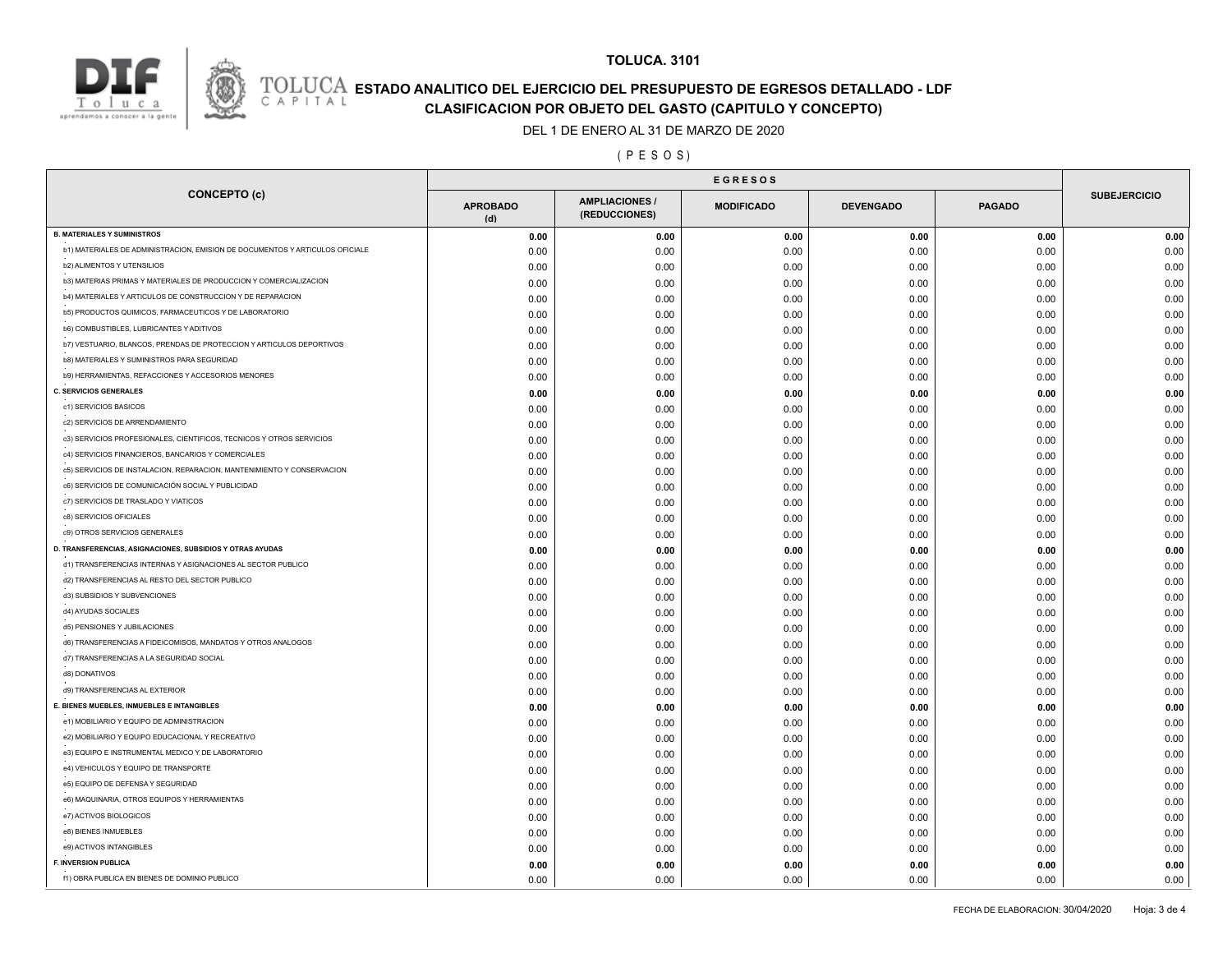

# **ESTADO ANALITICO DEL EJERCICIO DEL PRESUPUESTO DE EGRESOS DETALLADO - LDF**<br>CAPITAL CLASIFICACION POR OR IETO DEL GASTO (CARITILLO Y CONCERTO) **CLASIFICACION POR OBJETO DEL GASTO (CAPITULO Y CONCEPTO)**

**TOLUCA. 3101**

## DEL 1 DE ENERO AL 31 DE MARZO DE 2020

## ( P E S O S )

|                                                                              | <b>EGRESOS</b>         |                                        |                   |                  |               |                     |  |
|------------------------------------------------------------------------------|------------------------|----------------------------------------|-------------------|------------------|---------------|---------------------|--|
| <b>CONCEPTO (c)</b>                                                          | <b>APROBADO</b><br>(d) | <b>AMPLIACIONES /</b><br>(REDUCCIONES) | <b>MODIFICADO</b> | <b>DEVENGADO</b> | <b>PAGADO</b> | <b>SUBEJERCICIO</b> |  |
| <b>B. MATERIALES Y SUMINISTROS</b>                                           | 0.00                   | 0.00                                   | 0.00              | 0.00             | 0.00          | 0.00                |  |
| b1) MATERIALES DE ADMINISTRACION, EMISION DE DOCUMENTOS Y ARTICULOS OFICIALE | 0.00                   | 0.00                                   | 0.00              | 0.00             | 0.00          | 0.00                |  |
| <b>b2) ALIMENTOS Y UTENSILIOS</b>                                            | 0.00                   | 0.00                                   | 0.00              | 0.00             | 0.00          | 0.00                |  |
| b3) MATERIAS PRIMAS Y MATERIALES DE PRODUCCION Y COMERCIALIZACION            | 0.00                   | 0.00                                   | 0.00              | 0.00             | 0.00          | 0.00                |  |
| b4) MATERIALES Y ARTICULOS DE CONSTRUCCION Y DE REPARACION                   | 0.00                   | 0.00                                   | 0.00              | 0.00             | 0.00          | 0.00                |  |
| b5) PRODUCTOS QUIMICOS, FARMACEUTICOS Y DE LABORATORIO                       | 0.00                   | 0.00                                   | 0.00              | 0.00             | 0.00          | 0.00                |  |
| b6) COMBUSTIBLES, LUBRICANTES Y ADITIVOS                                     | 0.00                   | 0.00                                   | 0.00              | 0.00             | 0.00          | 0.00                |  |
| b7) VESTUARIO, BLANCOS, PRENDAS DE PROTECCION Y ARTICULOS DEPORTIVOS         | 0.00                   | 0.00                                   | 0.00              | 0.00             | 0.00          | 0.00                |  |
| b8) MATERIALES Y SUMINISTROS PARA SEGURIDAD                                  | 0.00                   | 0.00                                   | 0.00              | 0.00             | 0.00          | 0.00                |  |
| b9) HERRAMIENTAS, REFACCIONES Y ACCESORIOS MENORES                           | 0.00                   | 0.00                                   | 0.00              | 0.00             | 0.00          | 0.00                |  |
| <b>C. SERVICIOS GENERALES</b>                                                | 0.00                   | 0.00                                   | 0.00              | 0.00             | 0.00          | 0.00                |  |
| c1) SERVICIOS BASICOS                                                        | 0.00                   | 0.00                                   | 0.00              | 0.00             | 0.00          | 0.00                |  |
| c2) SERVICIOS DE ARRENDAMIENTO                                               | 0.00                   | 0.00                                   | 0.00              | 0.00             | 0.00          | 0.00                |  |
| c3) SERVICIOS PROFESIONALES, CIENTIFICOS, TECNICOS Y OTROS SERVICIOS         | 0.00                   | 0.00                                   | 0.00              | 0.00             | 0.00          | 0.00                |  |
| c4) SERVICIOS FINANCIEROS, BANCARIOS Y COMERCIALES                           | 0.00                   | 0.00                                   | 0.00              | 0.00             | 0.00          | 0.00                |  |
| c5) SERVICIOS DE INSTALACION, REPARACION, MANTENIMIENTO Y CONSERVACION       | 0.00                   | 0.00                                   | 0.00              | 0.00             | 0.00          | 0.00                |  |
| c6) SERVICIOS DE COMUNICACIÓN SOCIAL Y PUBLICIDAD                            | 0.00                   | 0.00                                   | 0.00              | 0.00             | 0.00          | 0.00                |  |
| c7) SERVICIOS DE TRASLADO Y VIATICOS                                         | 0.00                   | 0.00                                   | 0.00              | 0.00             | 0.00          | 0.00                |  |
| c8) SERVICIOS OFICIALES                                                      | 0.00                   | 0.00                                   | 0.00              | 0.00             | 0.00          | 0.00                |  |
| c9) OTROS SERVICIOS GENERALES                                                | 0.00                   | 0.00                                   | 0.00              | 0.00             | 0.00          | 0.00                |  |
| D. TRANSFERENCIAS, ASIGNACIONES, SUBSIDIOS Y OTRAS AYUDAS                    | 0.00                   | 0.00                                   | 0.00              | 0.00             | 0.00          | 0.00                |  |
| d1) TRANSFERENCIAS INTERNAS Y ASIGNACIONES AL SECTOR PUBLICO                 | 0.00                   | 0.00                                   | 0.00              | 0.00             | 0.00          | 0.00                |  |
| d2) TRANSFERENCIAS AL RESTO DEL SECTOR PUBLICO                               | 0.00                   | 0.00                                   | 0.00              | 0.00             | 0.00          | 0.00                |  |
| d3) SUBSIDIOS Y SUBVENCIONES                                                 | 0.00                   | 0.00                                   | 0.00              | 0.00             | 0.00          | 0.00                |  |
| d4) AYUDAS SOCIALES                                                          | 0.00                   | 0.00                                   | 0.00              | 0.00             | 0.00          | 0.00                |  |
| d5) PENSIONES Y JUBILACIONES                                                 | 0.00                   | 0.00                                   | 0.00              | 0.00             | 0.00          | 0.00                |  |
| d6) TRANSFERENCIAS A FIDEICOMISOS, MANDATOS Y OTROS ANALOGOS                 | 0.00                   | 0.00                                   | 0.00              | 0.00             | 0.00          | 0.00                |  |
| d7) TRANSFERENCIAS A LA SEGURIDAD SOCIAL                                     | 0.00                   | 0.00                                   | 0.00              | 0.00             | 0.00          | 0.00                |  |
| d8) DONATIVOS                                                                | 0.00                   | 0.00                                   | 0.00              | 0.00             | 0.00          | 0.00                |  |
| d9) TRANSFERENCIAS AL EXTERIOR                                               | 0.00                   | 0.00                                   | 0.00              | 0.00             | 0.00          | 0.00                |  |
| E. BIENES MUEBLES, INMUEBLES E INTANGIBLES                                   | 0.00                   | 0.00                                   | 0.00              | 0.00             | 0.00          | 0.00                |  |
| e1) MOBILIARIO Y EQUIPO DE ADMINISTRACION                                    | 0.00                   | 0.00                                   | 0.00              | 0.00             | 0.00          | 0.00                |  |
| e2) MOBILIARIO Y EQUIPO EDUCACIONAL Y RECREATIVO                             | 0.00                   | 0.00                                   | 0.00              | 0.00             | 0.00          | 0.00                |  |
| e3) EQUIPO E INSTRUMENTAL MEDICO Y DE LABORATORIO                            | 0.00                   | 0.00                                   | 0.00              | 0.00             | 0.00          | 0.00                |  |
| e4) VEHICULOS Y EQUIPO DE TRANSPORTE                                         | 0.00                   | 0.00                                   | 0.00              | 0.00             | 0.00          | 0.00                |  |
| e5) EQUIPO DE DEFENSA Y SEGURIDAD                                            |                        |                                        |                   |                  |               |                     |  |
| e6) MAQUINARIA, OTROS EQUIPOS Y HERRAMIENTAS                                 | 0.00<br>0.00           | 0.00<br>0.00                           | 0.00<br>0.00      | 0.00             | 0.00<br>0.00  | 0.00<br>0.00        |  |
| e7) ACTIVOS BIOLOGICOS                                                       |                        |                                        |                   | 0.00             |               |                     |  |
| e8) BIENES INMUEBLES                                                         | 0.00                   | 0.00                                   | 0.00              | 0.00             | 0.00          | 0.00                |  |
| e9) ACTIVOS INTANGIBLES                                                      | 0.00                   | 0.00                                   | 0.00              | 0.00             | 0.00          | 0.00                |  |
| <b>F. INVERSION PUBLICA</b>                                                  | 0.00                   | 0.00                                   | 0.00              | 0.00             | 0.00          | 0.00                |  |
| f1) OBRA PUBLICA EN BIENES DE DOMINIO PUBLICO                                | 0.00                   | 0.00                                   | 0.00              | 0.00             | 0.00          | 0.00                |  |
|                                                                              | 0.00                   | 0.00                                   | 0.00              | 0.00             | 0.00          | 0.00                |  |